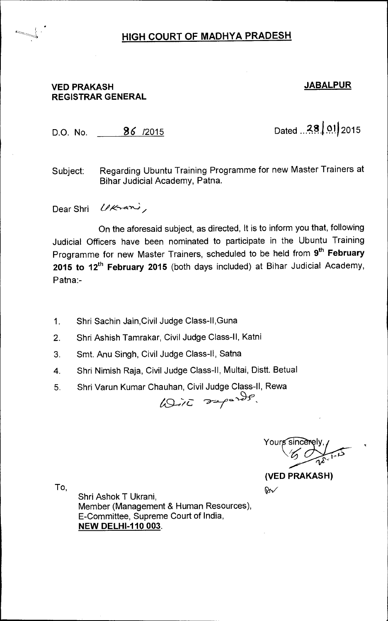## **VED PRAKASH JABALPUR REGISTRAR GENERAL**

,

D.O. No. **36** /2015 Dated **2.8** j **0**.**<sup>12015</sup>**

Subject: Regarding Ubuntu Training Programme for new Master Trainers at Bihar Judicial Academy, Patna.

Dear Shri *Ukrani*,

On the aforesaid subject, as directed, It is to inform you that, following Judicial Officers have been nominated to participate in the Ubuntu Training Programme for new Master Trainers, scheduled to be held from 9<sup>th</sup> February 2015 to 12<sup>th</sup> February 2015 (both days included) at Bihar Judicial Academy, Patna:-

- 1. Shri Sachin Jain,Civil Judge Class-II,Guna
- 2. Shri Ashish Tamrakar, Civil Judge Class-II, Katni
- 3. Smt. Anu Singh, Civil Judge Class-II, Satna
- 4. Shri Nimish Raja, Civil Judge Class-II, Multai, Distt. Betual
- 5. Shri Varun Kumar Chauhan, Civil Judge Class-II, Rewa<br>משתפת המונג הראשון

Yours  $\boldsymbol{\psi}$ 

**(VED PRAKASH)** 

β√

To,

Shri Ashok T Ukrani, Member (Management & Human Resources), E-Committee, Supreme Court of India, **NEW DELHI-110 003.**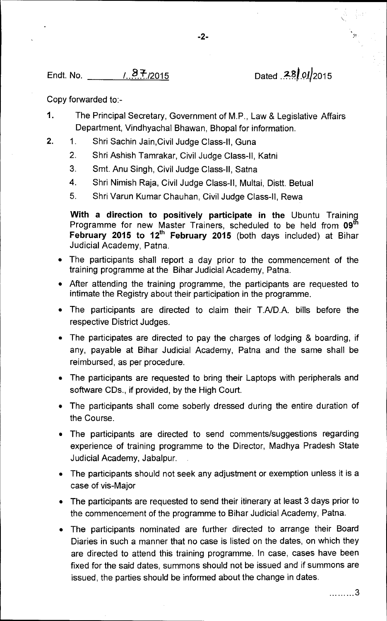## Endt. No. <u>287, 2015</u> 2015 Dated 28, 01, 2015

Copy forwarded to:-

- 1. The Principal Secretary, Government of M.P., Law & Legislative Affairs Department, Vindhyachal Bhawan, Bhopal for information.
- 2. 1. Shri Sachin Jain,Civil Judge Class-II, Guna
	- 2. Shri Ashish Tamrakar, Civil Judge Class-II, Katni
	- 3. Smt. Anu Singh, Civil Judge Class-II, Satna
	- 4. Shri Nimish Raja, Civil Judge Class-II, Multai, Distt. Betual
	- 5. Shri Varun Kumar Chauhan, Civil Judge Class-II, Rewa

**With a direction to positively participate in the** Ubuntu Training Programme for new Master Trainers, scheduled to be held from **09th**  February 2015 to 12<sup>th</sup> February 2015 (both days included) at Bihar Judicial Academy, Patna.

- The participants shall report a day prior to the commencement of the training programme at the Bihar Judicial Academy, Patna.
- After attending the training programme, the participants are requested to intimate the Registry about their participation in the programme.
- The participants are directed to claim their T.A/D.A. bills before the respective District Judges.
- The participates are directed to pay the charges of lodging & boarding, if any, payable at Bihar Judicial Academy, Patna and the same shall be reimbursed, as per procedure.
- The participants are requested to bring their Laptops with peripherals and software CDs., if provided, by the High Court.
- The participants shall come soberly dressed during the entire duration of the Course.
- The participants are directed to send comments/suggestions regarding experience of training programme to the Director, Madhya Pradesh State Judicial Academy, Jabalpur.
- The participants should not seek any adjustment or exemption unless it is a case of vis-Major
- The participants are requested to send their itinerary at least 3 days prior to the commencement of the programme to Bihar Judicial Academy, Patna.
- The participants nominated are further directed to arrange their Board Diaries in such a manner that no case is listed on the dates, on which they are directed to attend this training programme. In case, cases have been fixed for the said dates, summons should not be issued and if summons are issued, the parties should be informed about the change in dates.

. . . . . . . . . 3

**-2-**